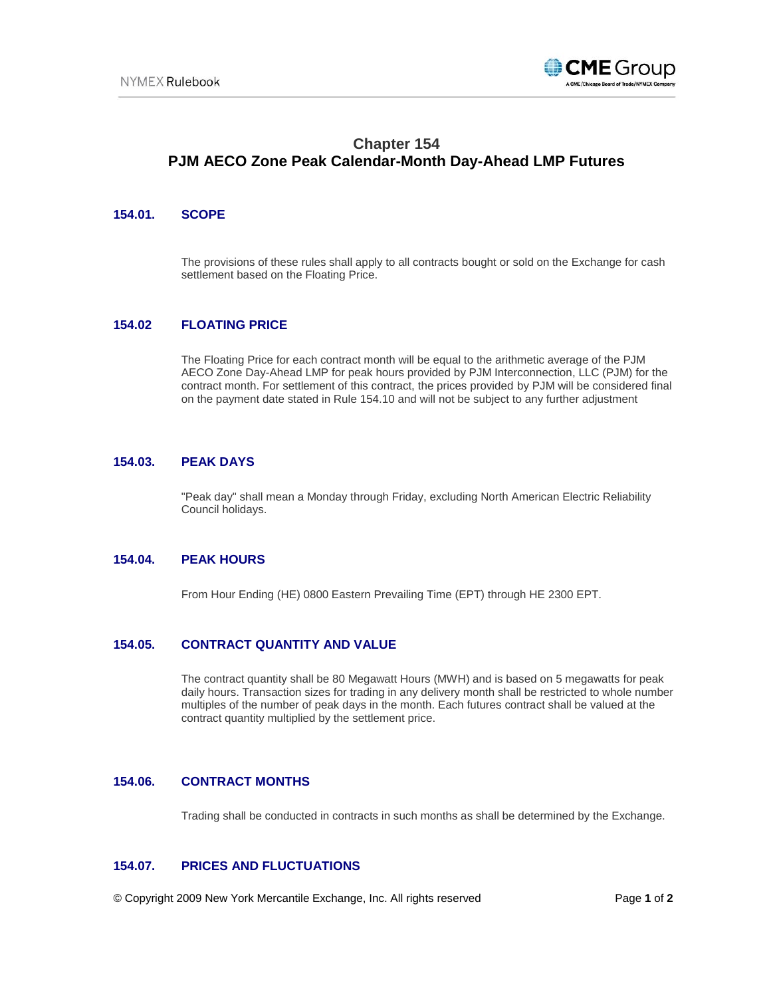

# **Chapter 154 PJM AECO Zone Peak Calendar-Month Day-Ahead LMP Futures**

## **154.01. SCOPE**

The provisions of these rules shall apply to all contracts bought or sold on the Exchange for cash settlement based on the Floating Price.

## **154.02 FLOATING PRICE**

The Floating Price for each contract month will be equal to the arithmetic average of the PJM AECO Zone Day-Ahead LMP for peak hours provided by PJM Interconnection, LLC (PJM) for the contract month. For settlement of this contract, the prices provided by PJM will be considered final on the payment date stated in Rule 154.10 and will not be subject to any further adjustment

#### **154.03. PEAK DAYS**

"Peak day" shall mean a Monday through Friday, excluding North American Electric Reliability Council holidays.

### **154.04. PEAK HOURS**

From Hour Ending (HE) 0800 Eastern Prevailing Time (EPT) through HE 2300 EPT.

## **154.05. CONTRACT QUANTITY AND VALUE**

The contract quantity shall be 80 Megawatt Hours (MWH) and is based on 5 megawatts for peak daily hours. Transaction sizes for trading in any delivery month shall be restricted to whole number multiples of the number of peak days in the month. Each futures contract shall be valued at the contract quantity multiplied by the settlement price.

## **154.06. CONTRACT MONTHS**

Trading shall be conducted in contracts in such months as shall be determined by the Exchange.

# **154.07. PRICES AND FLUCTUATIONS**

© Copyright 2009 New York Mercantile Exchange, Inc. All rights reserved Page **1** of **2**